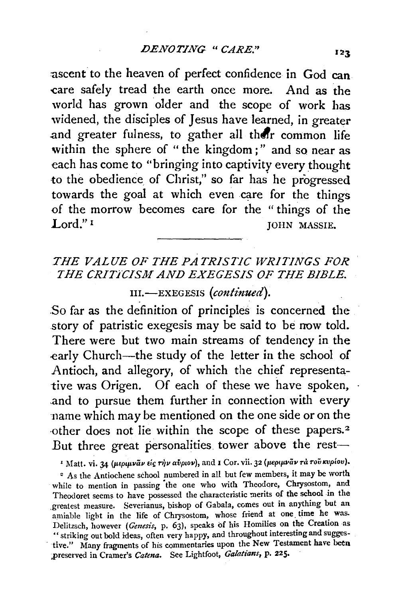ascent to the heaven of perfect confidence in God can -care safely tread the earth once more. And as the world has grown older and the scope of work has widened, the disciples of Jesus have learned, in greater and greater fulness, to gather all their common life within the sphere of "the kingdom;" and so near as each has come to "bringing into captivity every thought to the obedience of Christ," so far has he progressed towards the goal at which even care for the things of the morrow becomes care for the "things of the Lord."<sup>1</sup> JOHN MASSIE.

## *THE VALUE OF THE PATRISTIC WRITINGS FOR THE CRITiCISM AND EXEGESIS OF THE BIBLE.*

III.-EXEGESIS (continued).

.So far as the definition of principles is concerned the story of patristic exegesis may be said to be now told. There were but two main streams of tendency in the early Church-the study of the letter in the school of Antioch, and allegory, of which the chief representative was Origen. Of each of these we have spoken, .and to pursue them further in connection with every name which may be mentioned on the one side or on the other does not lie within the scope of these papers.<sup>2</sup> But three great personalities tower above the rest-

<sup>1</sup> Matt. vi. 34 (μεριμνάν είς την αύριον), and I Cor. vii. 32 (μεριμνάν τα του κυρίου).

<sup>2</sup> As the Antiochene school numbered in all but few members, it may be worth while to mention in passing the one who with Theodore, Chrysostom, and Theodoret seems to have possessed the characteristic merits of the school in the \_greatest measure. Severianus, bishop of Gabala, comes out in anything but an amiable light in the life of Chrysostom, whose friend at one time he was. Delitzsch, however *(Gmesis,* p. 63), speaks of his Homilies on the Creation as • • striking out bold ideas, often very happy, and throughout interesting and sugges tive." Many fragments of his commentaries upon the New Testament have been .{>reserved in Cramer's *Catena.* See Lightfoot, *Galatians,* P• 225.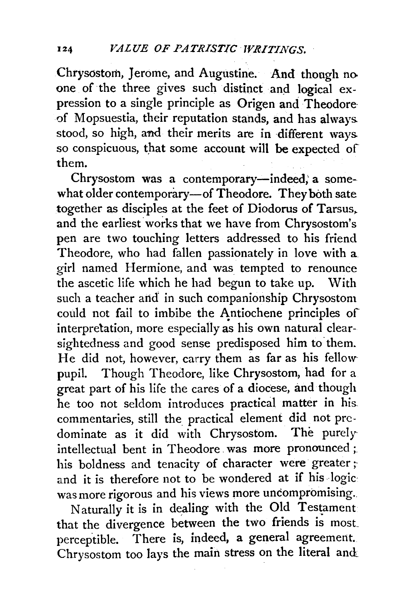Chrysostorh, Jerome, and Augustine. And though no one of the three gives such distinct and logical expression to a single principle as Origen and Theodore<sup>.</sup> .of Mopsuestia, their reputation stands, and has always. stood, so high, and their merits are in different ways. so conspicuous, that some account will be expected of them.

Chrysostom was a contemporary-indeed; a somewhat older contemporary-of Theodore. They both sate together as disciples at the feet of Diodorus of Tarsus,. and the earliest works that we have from Chrysostom's pen are two touching letters addressed to his friend Theodore, who had fallen passionately in love with a girl named Hermione, and was tempted to renounce the ascetic life which he had begun to take up. With such a teacher arid in such companionship Chrysostom could not fail to imbibe the Antiochene principles of interpretation, more especially as his own natural clearsightedness and good sense predisposed him to them. He did not, however, carry them as far as his fellow· pupil. Though Theodore, like Chrysostom, had for a great part of his life the cares of a diocese, and though he too not seldom introduces practical matter in his. commentaries, still the practical element did not predominate as it did with Chrysostom. The purely intellectual bent in Theodore. was more pronounced ;. his boldness and tenacity of character were greater; and it is therefore not to be wondered at if his logic: was more rigorous and his views more uncompromising.

Naturally it is in dealing with the Old Testament that the divergence between the two friends is most. perceptible. There is, indeed, a general agreement. Chrysostom too lays the main stress on the literal and.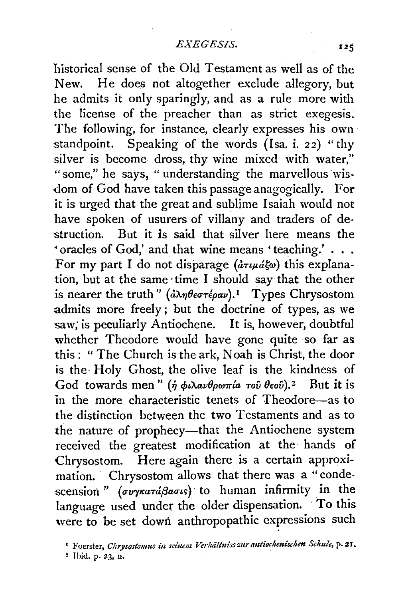historical sense of the Old Testament as well as of the New. He does not altogether exclude allegory, but he admits it only sparingly, and as a rule more with the license of the preacher than as strict exegesis. The following, for instance, clearly expresses his own standpoint. Speaking of the words  $(Isa, i. 22)$  "thy silver is become dross, thy wine mixed with water," "some," he says, "understanding the marvellous wisdom of God have taken this passage anagogically. For it is urged that the great and sublime Isaiah would not have spoken of usurers of villany and traders of destruction. But it is said that silver here means the • oracles of God,' and that wine means 'teaching.' . . . For my part I do not disparage  $(\partial \tau \psi \partial \phi)$  this explanation, but at the same ·time I should say that the other is nearer the truth" (*ἀληθεστέραν*).<sup>1</sup> Types Chrysostom admits more freely ; but the doctrine of types, as we saw; is peculiarly Antiochene. It is, however, doubtful whether Theodore would have gone quite so far as this : " The Church is the ark, Noah is Christ, the door is the· Holy Ghost, the olive leaf is the kindness of God towards men" (ή φιλανθρωπία τοῦ θεοῦ).<sup>2</sup> But it is in the more characteristic tenets of Theodore-as to the distinction between the two Testaments and as to the nature of prophecy-that the Antiochene system received the greatest modification at the hands of Chrysostom. Here again there is a certain approximation. Chrysostom allows that there was a "condescension " (*συγκατάβασι*ς) to human infirmity in the language used under the older dispensation. To this were to be set down anthropopathic expressions such

<sup>&</sup>lt;sup>1</sup> Foerster, *Chrysostomus in seinem Verhältniss zur antiochenischen Schule*, p. 21.

*<sup>3</sup>* Ihid. p. 23, n.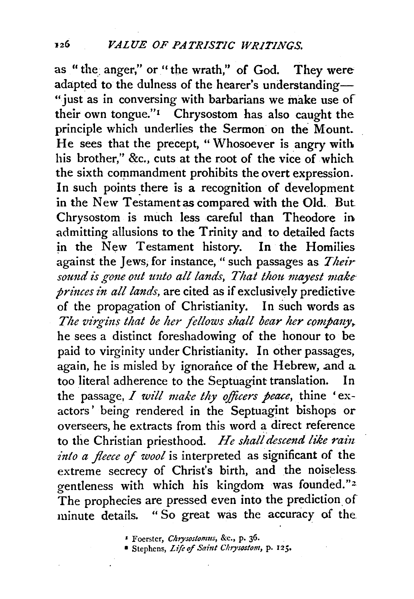as " the anger," or " the wrath," of God. They were adapted to the dulness of the hearer's understanding- ''just as in conversing with barbarians we make use of their own tongue."<sup>1</sup> Chrysostom has also caught the principle which underlies the Sermon on the Mount. He sees that the precept, "Whosoever is angry with his brother." &c., cuts at the root of the vice of which the sixth commandment prohibits the overt expression. In such points there is a recognition of development in the New Testamentas compared with the Old. But Chrysostom is much less careful than Theodore in admitting allusions to the Trinity and to detailed facts in the New Testament history. In the Homilies against the Jews, for instance, " such passages as *Their sotmd is gone out tmto all lands, That thou. mayest make· princes in all lands,* are cited as if exclusively predictive of the propagation of Christianity. In such words as The virgins that be her fellows shall bear her company, he sees a distinct foreshadowing of the honour to be paid to virginity under Christianity. In other passages, again, he is misled by ignorance of the Hebrew, and a too literal adherence to the Septuagint translation. In the passage, *I will make thy officers peace*, thine 'exactors' being rendered in the Septuagint bishops or overseers, he extracts from this word a direct reference to the Christian priesthood. He shall descend like rain *into a fleece* of *wool* is interpreted as significant of the extreme secrecy of Christ's birth, and the noiseless. gentleness with which his kingdom was founded."<sup>2</sup> The prophecies are pressed even into the prediction of minute details. "So great was the accuracy of the

• Foerster, *Chrysostonms,* &c., p. 36.

<sup>•</sup> Stephens, *Lift of Saint Chrysostom,* P· 125.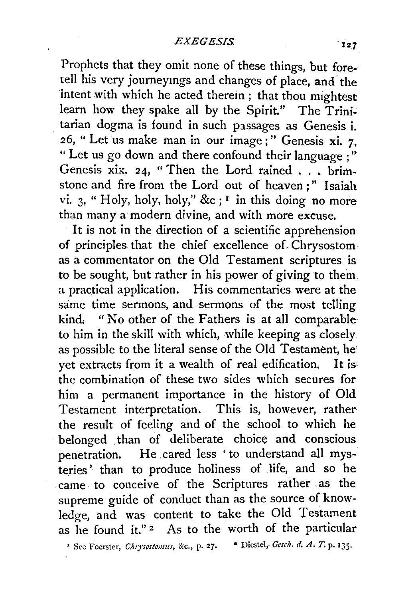Prophets that they omit none of these things, but fore. tell his very journeymgs and changes of place, and the intent with which he acted therein; that thou mightest learn how they spake all by the Spirit." The  $Trini$ . tarian dogma is found in such passages as Genesis i. 26, "Let us make man in our image;" Genesis xi. 7. " Let us go down and there confound their language ; '' Genesis xix. 24, "Then the Lord rained  $\ldots$  brimstone and fire from the Lord out of heaven;" Isaiah vi. 3, "Holy, holy, holy," &c ; <sup>1</sup> in this doing no more than many a modern divine, and with more excuse.

It is not in the direction of a scientific apprehension of principles that the chief excellence of Chrysostom as a commentator on the Old Testament scriptures is to be sought, but rather in his power of giving to them. a practical application. His commentaries were at the same time sermons, and sermons of the most telling kind, "No other of the Fathers is at all comparable to him in the skill with which, while keeping as closely as possible to the literal sense of the Old Testament, he vet extracts from it a wealth of real edification. It is the combination of these two sides which secures for him a permanent importance in the history of Old Testament interpretation. This is, however, rather the result of feeling and of the school to which he belonged than of deliberate choice and conscious penetration, He cared less ' to understand all mysteries ' than to produce holiness of life, and so he came. to conceive of the Scriptures rather . as the supreme guide of conduct than as the source of knowledge, and was content to take the Old Testament as he found it." $2$  As to the worth of the particular

' See Foerster, *ChlJ'Sostomus,* &c., p. 27. • DiesteJ,. *Gesch. d. A. T.* p. 135.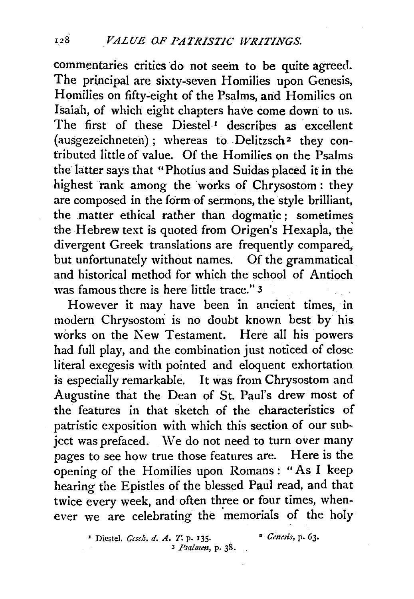commentaries critics do not seem to be quite agreed. The principal are sixty-seven Homilies upon Genesis, Homilies on fifty-eight of the Psalms, and Homilies on Isaiah, of which eight chapters have come down to us. The first of these  $Diestel<sup>T</sup>$  describes as excellent  $($ ausgezeichneten $)$ : whereas to Delitzsch<sup>2</sup> they contributed little of value. Of the Homilies on the Psalms the latter says that "Photius and Suidas placed it in the highest rank among the works of Chrysostom : they are composed in the form of sermons, the style brilliant, the .matter ethical rather than dogmatic ; sometimes the Hebrew text is quoted from Origen's Hexapla, the divergent Greek translations are frequently compared, but unfortunately without names. Of the grammatical and historical method for which the school of Antioch was famous there is here little trace." 3

However it may have been in ancient times, in modern Chrysostom is no doubt known best by his works on the New Testament. Here all his powers had full play, and the combination just noticed of close literal exegesis with pointed and eloquent exhortation is especially remarkable. It was from Chrysostom and Augustine that the Dean of St. Paul's drew most of the features in that sketch of the characteristics of patristic exposition with which this section of our subject was prefaced. We do not need to turn over many pages to see bow true those features are. Here is the opening of the Homilies upon Romans: "As I keep hearing the Epistles of the blessed Paul read, and that twice every week, and often three or four times, whenever we are celebrating the memorials of the holy

> <sup>1</sup> Diestel. *Gcsch. d. A. T.* p. 135. <sup>2</sup> *Genesis*, p. 63. 3 *Psalmen,* p. 38. .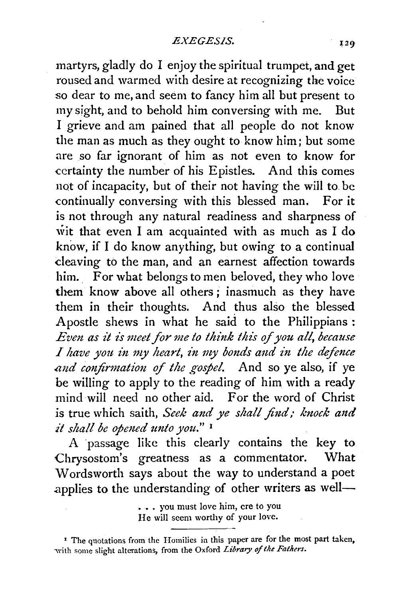martyrs, gladly do I enjoy the spiritual trumpet, and get roused and warmed with desire at recognizing the voice so dear to me, and seem to fancy him all but present to my sight, and to behold him conversing with me. But I grieve and am pained that all people do not know the man as much as they ought to know him; but some are so far ignorant of him as not even to know for certainty the number of his Epistles. And this comes not of incapacity, but of their not having the will to. be continually conversing with this blessed man. For it is not through any natural readiness and sharpness of wit that even I am acquainted with as much as I do know, if I do know anything, but owing to a continual cleaving to the man, and an earnest affection towards him. For what belongs to men beloved, they who love them know above all others; inasmuch as they have them in their thoughts. And thus also the blessed Apostle shews in what he said to the Philippians : *Even as it is meet for me to think this of you all, because I have you in my heart, in my bonds and in the defence* and confirmation of the gospel. And so ye also, if ye be willing to apply to the reading of him with a ready mind will need no other aid. For the word of Christ is true which saith, *Seek and ye shall find; knock and it shall be opmed unto you."* <sup>1</sup>

A passage like this clearly contains the key to Chrysostom's greatness as a commentator. What W ordsworth says about the way to understand a poet applies to the understanding of other writers as well-

<sup>• , .</sup> you must love him, ere to you He will seem worthy of your love.

<sup>&</sup>lt;sup>1</sup> The quotations from the Homilies in this paper are for the most part taken, with some slight alterations, from the Oxford *Library of the Fathers*.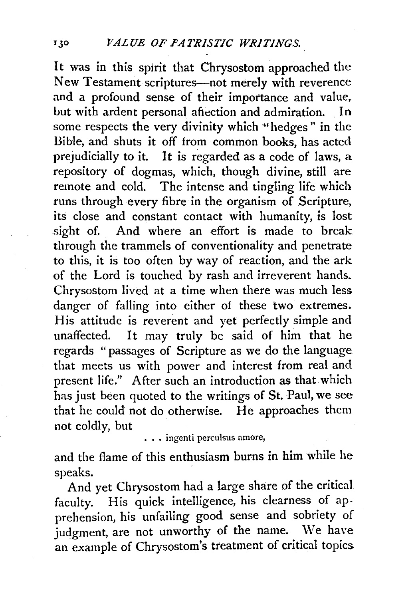It was in this spirit that Chrysostom approached the New Testament scriptures-not merely with reverence and a profound sense of their importance and value. but with ardent personal affection and admiration. In some respects the very divinity which "hedges" in the Bible, and shuts it off from common books, has acted prejudicially to it. It is regarded as a code of laws, a repository of dogmas, which, though divine, still are remote and cold. The intense and tingling life which runs through every fibre in the organism of Scripture, its close and constant contact with humanity, is lost sight of. And where an effort is made to break through the trammels of conventionality and penetrate to this, it is too often by way of reaction, and the ark of the Lord is touched by rash and irreverent hands. Chrysostom lived at a time when there was much less danger of falling into either of these two extremes. His attitude is reverent and yet perfectly simple and unaffected. It may truly be said of him that he regards "passages of Scripture as we do the language that meets us with power and interest from real and present life." After such an introduction as that which has just been quoted to the writings of St. Paul, we see that he could not do otherwise. He approaches them not coldly, but<br>
... ingenti perculsus amore,

and the flame of this enthusiasm burns in him while he speaks.

And yet Chrysostom had a large share of the critical faculty. His quick intelligence, his clearness of apprehension, his unfailing good sense and sobriety of judgment, are not unworthy of the name. We have an example of Chrysostom's treatment of critical topics.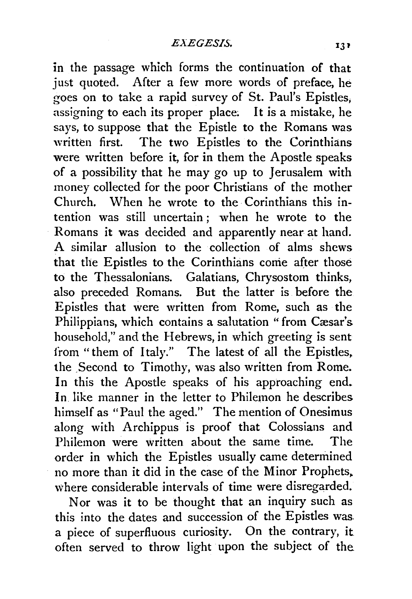in the passage which forms the continuation of that just quoted. After a few more words of preface, he goes on to take a rapid survey of St. Paul's Epistles, assigning to each its proper place; It is a mistake, he says, to suppose that the Epistle to the Romans was written first. The two Epistles to the Corinthians were written before it, for in them the Apostle speaks of a possibility that he may go up to Jerusalem with money collected for the poor Christians of the mother Church. When he wrote to the Corinthians this intention was still uncertain ; when he wrote to the Romans it was decided and apparently near at hand. A similar allusion to the collection of alms shcws that the Epistles to the Corinthians come after those to the Thessalonians. Galatians, Chrysostom thinks, also preceded Romans. But the latter is before the Epistles that were written from Rome, such as the Philippians, which contains a salutation "from Cæsar's household," and the Hebrews, in which greeting is sent from "them of Italy." The latest of all the Epistles. the Second to Timothy, was also written from Rome. In this the Apostle speaks of his approaching end. In. like manner in the letter to Philemon he describes himself as "Paul the aged." The mention of Onesimus along with Archippus is proof that Colossians and Philemon were written about the same time. The order in which the Epistles usually came determined no more than it did in the case of the Minor Prophets, where considerable intervals of time were disregarded.

Nor was it to be thought that an inquiry such as this into the dates and succession of the Epistles was. a piece of superfluous curiosity. On the contrary, it often served to throw light upon the subject of the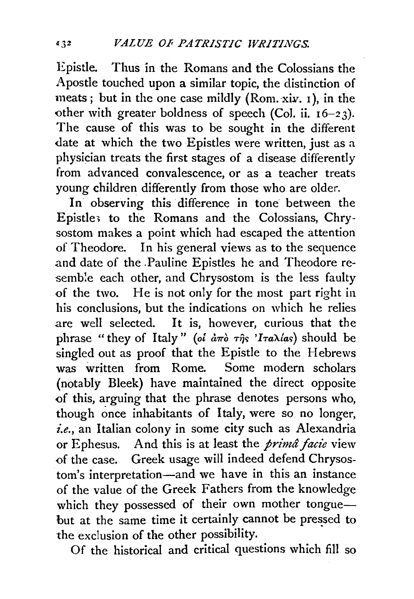Epistle. Thus in the Romans and the Colossians the Apostle touched upon a similar topic, the distinction of meats; but in the one case mildly (Rom. *xiv.* 1), in the other with greater boldness of speech (Col. ii.  $16-23$ ). The cause of this was to be sought in the different date at which the two Epistles were written, just as a physician treats the first stages of a disease differently from advanced convalescence, or as a teacher treats young children differently from those who are older.

In observing this difference in tone between the Epistle> to the Romans and the Colossians, Chrysostom makes a point which had escaped the attention of Theodore. In his general views as to the sequence and date of the .Pauline Epistles he and Theodore resemble each other, and Chrysostom is the less faulty of the two. He is not only for the most part right in his conclusions, but the indications on which he relies are well selected. It is, however, curious that the phrase "they of Italy" *(ot*  $d\pi\delta$  $\tau\hat{\eta}s$  *'I* $\tau a\lambda/as$ *)* should be singled out as proof that the Epistle to the Hebrews was written from Rome. Some modern scholars (notably Bleek) have maintained the direct opposite of this, arguing that the phrase denotes persons who, though once inhabitants of Italy, were so no longer, *i.e.,* an Italian colony in some city such as Alexandria or Ephesus. And this is at least the *prima facie* view of the case. Greek usage will indeed defend Chrysostom's interpretation-and we have in this an instance of the value of the Greek Fathers from the knowledge which they possessed of their own mother tonguebut at the same time it certainly cannot be pressed to the exclusion of the other possibility.

Of the historical and critical questions which fill so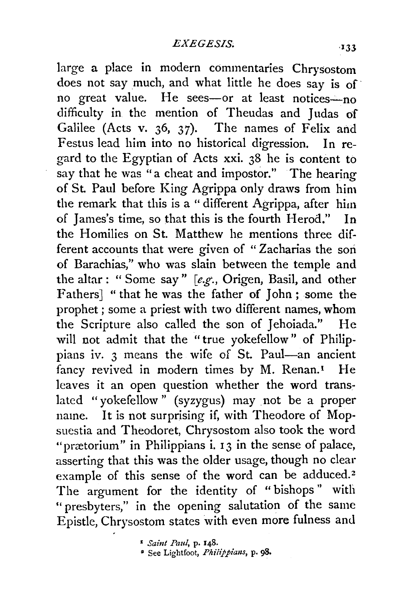large a place in modern commentaries Chrysostom does not say much, and what little he does say is of· no great value. He sees-or at least notices-no difficulty in the mention of Theudas and Judas of Galilee (Acts v. 36, 37). The names of Felix and Festus lead him into no historical digression. In regard to the Egyptian of Acts xxi. 38 he is content to say that he was "a cheat and impostor." The hearing of St. Paul before King Agrippa only draws from him the remark that this is a " different Agrippa, after him of James's time, so that this is the fourth Herod." In the Homilies on St. Matthew he mentions three different accounts that were given of "Zacharias the son of Barachias," who was slain between the temple and the altar: "Some say" *[e.g.,* Origen, Basil, and other Fathers] "that he was the father of John; some the prophet ; some a priest with two different names, whom the Scripture also called the son of Jehoiada." He will not admit that the "true yokefellow" of Philippians iv. 3 means the wife of St. Paul-an ancient fancy revived in modern times by M. Renan.<sup>1</sup> He leaves it an open question whether the word translated "yokefellow" (syzygus) may not be a proper name. It is not surprising if, with Theodore of Mopsuestia and Theodoret, Chrysostom also took the word "prætorium" in Philippians i.  $13$  in the sense of palace, asserting that this was the older usage, though no clear example of this sense of the word can be adduced.<sup>2</sup> The argument for the identity of "bishops" with "presbyters," in the opening salutation of the same Epistle, Chrysostom states with even more fulness and

<sup>1</sup>*Saint Paul,* p. 148.

• See Lightfoot, *Philippialls,* p. 98.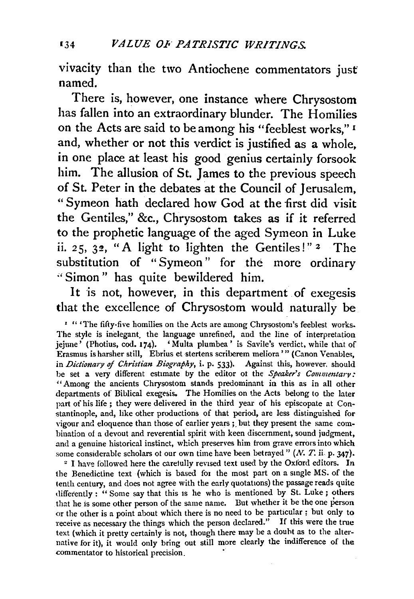vivacity than the two Antiochene commentators just named.

There is, however, one instance where Chrysostom has fallen into an extraordinary blunder. The Homilies on the Acts are said to be among his "feeblest works," 1 and, whether or not this verdict is justified as a whole, in one place at least his good genius certainly forsook him. The allusion of St. James to the previous speech of St. Peter in the debates at the Council of Jerusalem, " Symeon hath declared how God at the first did visit the Gentiles," &c., Chrysostom takes as if it referred to the prophetic language of the aged Symeon in Luke ii. 25, 32, "A light to lighten the Gentiles!" *z* The substitution of "Symeon" for the more ordinary "Simon" has quite bewildered him.

It is not, however, in this department of exegesis that the excellence of Chrysostom would naturally be

<sup>1</sup> " The fifty-five homilies on the Acts are among Chrysostom's feeblest works. The style is inelegant. the language unrefined, and the line of interpretation jejune' (Photins, cod. 174). 'Multa plumbea' is Savile's verdict, while that of Erasmus is harsher still, Ebrius et stertens scriberem meliora '" (Canon Venables, in *Dictionary of Christian Biography*, *i. p. 533*). Against this, however. should be set a very different estimate by the editor ot the *Speaker's Commentary:*  "Among the ancients Chrysostom stands predominant in this as in all other departments of Biblical exegesis. The Homilies on the Acts belong to the later part of his life ; they were delivered in the third year of his episcopate at Constantinople, and, like other productions of that period, are less distinguished for vigour and eloquence than those of earlier years ;. but they present the same combination of a devout and reverential spirit with keen discernment, sound judgment, and a genuine historical instinct, which preserves him from grave errors into which some considerable scholars ot our own time have been betrayed"  $(N, T, i\infty)$ , 347).<br><sup>2</sup> I have followed here the carefully revised text used by the Oxford editors. In

the Benedictine text (which is based for the most part on a single MS. of the tenth century, and does not agree with the early quotations) the passage reads quite differently : " Some say that this is he who is mentioned by St. Luke ; others that he is some other person of the same name. But whether it be the one person or the other is a point about which there is no need to be particular ; but only to receive as necessary the things which the person declared." If this were the true text (which it pretty certainly is not, though there may be a douht as to the alternative for it), it would only bring out still more clearly the indifference of the commentator to historical precision.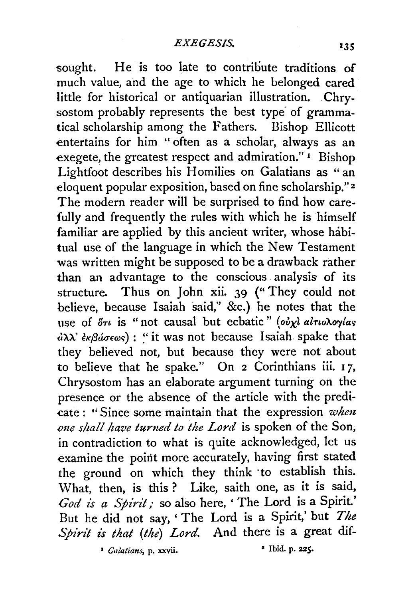sought. He is too late to contribute traditions of much value, and the age to which he belonged cared little for historical or antiquarian illustration. Chrysostom probably represents the best type of grammatical scholarship among the Fathers. Bishop Ellicott entertains for him " often as a scholar, always as an exegete, the greatest respect and admiration." 1 Bishop Lightfoot describes his Homilies on Galatians as "an eloquent popular exposition, based on fine scholarship." 2 The modern reader will be surprised to find how carefully and frequently the rules with which he is himself familiar are applied by this ancient writer, whose habitual use of the language in which the New Testament was written might be supposed to be a drawback rather than an advantage to the conscious analysis of its structure. Thus on John xii. 39 ("They could not believe, because Isaiah said," &c.) he notes that the use of  $\delta\tau\iota$  is "not causal but ecbatic" ( $\partial\dot{v}\chi\iota$  *alno hoylas*  $d\lambda\lambda'$  *εκβάσεως*): "it was not because Isaiah spake that they believed not, but because they were not about to believe that he spake." On 2 Corinthians iii. 17, Chrysostom has an elaborate argument turning on the presence or the absence of the article with the predicate : "Since some maintain that the expression *whm*  one shall have turned to the Lord is spoken of the Son, in contradiction to what is quite acknowledged, let us examine the point more accurately, having first stated the ground on which they think ·to establish this. What, then, is this ? Like, saith one, as it is said, God is a Spirit; so also here, ' The Lord is a Spirit.' But he did not say, ' The Lord is a Spirit,' but *The*  Spirit is that (the) Lord. And there is a great dif-

• *Galatians,* p. xxvii. • Ibid. p. 225.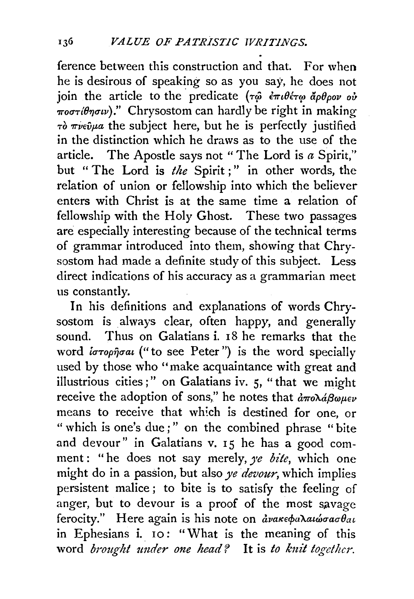ference between this construction and that. For when he is desirous of speaking so as you say, he does not ioin the article to the predicate  $(\tau \hat{\omega} \cdot \hat{\epsilon} \pi \iota \theta \hat{\epsilon} \tau \omega \hat{\alpha} \theta \hat{\theta} \rho \partial \nu \omega \hat{\omega})$  $\frac{1}{\pi \omega \sigma \tau \theta}$  *word*." Chrysostom can hardly be right in making  $\tau\delta\pi\nu\epsilon\hat{\nu}\mu a$  the subject here, but he is perfectly justified in the distinction which he draws as to the use of the article. The Apostle says not " The Lord is *a* Spirit," but " The Lord is *the* Spirit;" in other words, the relation of union or fellowship into which the believer enters with Christ is at the same time a relation of fellowship with the Holy Ghost. These two passages are especially interesting because of the technical terms of grammar introduced into them, showing that Chrysostom had made a definite study of this subject. Less direct indications of his accuracy as a grammarian meet us constantly.

In his definitions and explanations of words Chrysostom is always clear, often happy, and generally sound. Thus on Galatians  $i$ ,  $18$  he remarks that the word *iorophoal* ("to see Peter") is the word specially used by those who "make acquaintance with great and illustrious cities;" on Galatians iv. 5, "that we might receive the adoption of sons," he notes that  $\frac{\partial \pi}{\partial \theta} \omega_{\mu} = v$ means to receive that which is destined for one, or " which is one's due;" on the combined phrase "bite and devour" in Galatians v.  $15$  he has a good comment: "he does not say merely, *ye bite*, which one might do in a passion, but also *ye devour,* which implies persistent malice; to bite is to satisfy the feeling of anger, but to devour is a proof of the most savage ferocity." Here again is his note on *ανακεφαλαιώσασθαι* in Ephesians i. 10: "What is the meaning of this word *brought under one head?* It is *to knit together.*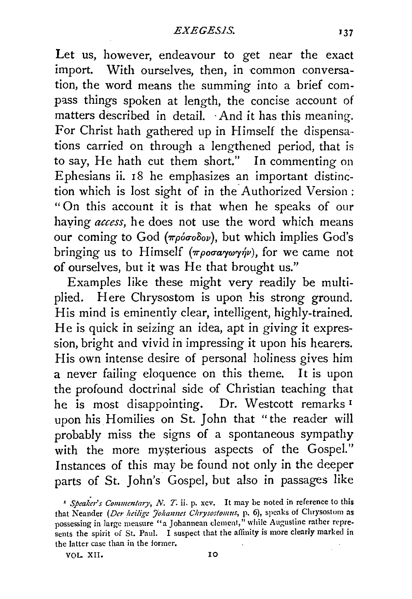Let us, however, endeavour to get near the exact import. With ourselves, then, in common conversation, the word means the summing into a brief compass things spoken at length, the concise account of matters described in detail. And it has this meaning. For Christ hath gathered up in Himself the dispensations carried on through a lengthened period, that is to say, He hath cut them short." In commenting on Ephesians ii. 18 he emphasizes an important distinction which is lost sight of in the. Authorized Version; "On this account it is that when he speaks of our haying *access,* he does not use the word which means our coming to God (πρόσοδον), but which implies God's bringing us to Himself ( $\pi \rho \sigma \alpha \gamma \omega \gamma \gamma \nu$ ), for we came not of ourselves, but it was He that brought us."

Examples like these might very readily be multiplied. Here Chrysostom is upon his strong ground. His mind is eminently clear, intelligent, highly-trained. He is quick in seizing an idea, apt in giving it expression, bright and vivid in impressing it upon his hearers. His own intense desire of personal holiness gives him a never failing eloquence on this theme. It is upon the profound doctrinal side of Christian teaching that he is most disappointing. Dr. Westcott remarks <sup>1</sup> upon his Homilies on St. John that "the reader will probably miss the signs of a spontaneous sympathy with the more mysterious aspects of the Gospel." Instances of this may be found not only in the deeper parts of St. John's Gospel, but also in passages like

VOL. XII. 10

<sup>&</sup>lt;sup>I</sup> Speaker's Commentary, N. T. ii. p. xcv. It may be noted in reference to this that Neander *(Der heilige Johannes Chrysostomus*, p. 6), speaks of Chrysostom as possessing in large measure "a Johannean clement," while Augustine rather represents the spirit of St. Paul. I suspect that the affinity is more clearly marked in the latter case than in the former.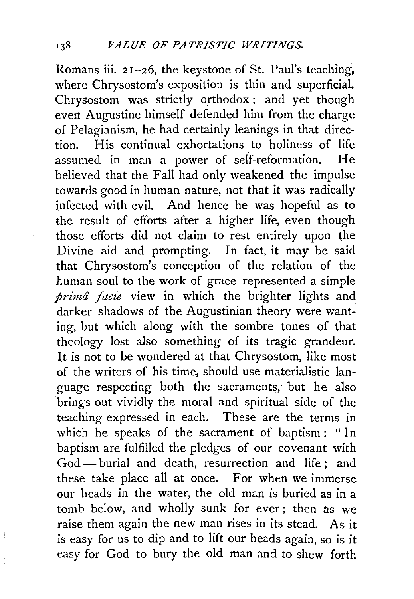Romans iii. 21-26, the keystone of St. Paul's teaching, where Chrysostom's exposition is thin and superficial. Chrysostom was strictly orthodox ; and yet though evert Augustine himself defended him from the charge of Pelagianism, he had certainly leanings in that direction. His continual exhortations to holiness of life assumed in man a power of self-reformation. He believed that the Fall had only weakened the impulse towards good in human nature, not that it was radically infected with evil. And hence he was hopeful as to the result of efforts after a higher life, even though those efforts did not claim to rest entirely upon the Divine aid and prompting. In fact, it may be said that Chrysostom's conception of the relation of the human soul to the work of grace represented a simple *prima facie* view in which the brighter lights and darker shadows of the Augustinian theory were wanting, but which along with the sombre tones of that theology lost also something of its tragic grandeur. It is not to be wondered at that Chrysostom, like most of the writers of his time, should use materialistic language respecting both the sacraments, but he also brings out vividly the moral and spiritual side of the teaching expressed in each. These are the terms in which he speaks of the sacrament of baptism: "In baptism are fulfilled the pledges of our covenant with God- burial and death, resurrection and life ; and these take place all at once. For when we immerse our heads in the water, the old man is buried as in a tomb below, and wholly sunk for ever; then as we raise them again the new man rises in its stead. As it is easy for us to dip and to lift our heads again, so is it easy for God to bury the old man and to shew forth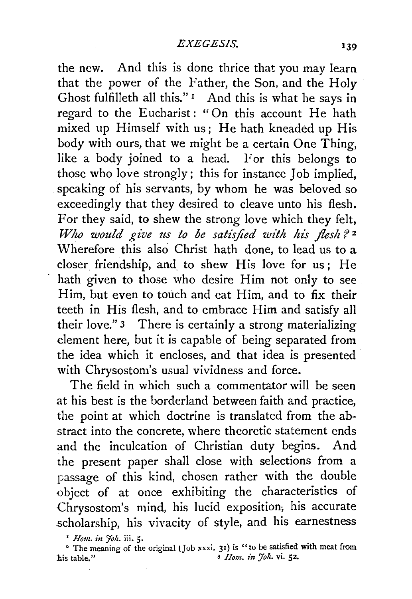the new. And this is done thrice that you may learn that the power of the Father, the Son, and the Holy Ghost fulfilleth all this." 1 And this is what he says in regard to the Eucharist: "On this account He hath mixed up Himself with us; He hath kneaded up His body with ours, that we might be a certain One Thing, like a body joined to a head. For this belongs to those who love strongly; this for instance Job implied, speaking of his servants, by whom he was beloved so exceedingly that they desired to cleave unto his flesh. For they said, to shew the strong love which they felt, *Who would give us to be satisfied with his flesh?* <sup>2</sup> Wherefore this also Christ hath done, to lead us to a closer friendship, and to shew His love for us; He hath given to those who desire Him not only to see Him, but even to touch and eat Him, and to fix their teeth in His flesh, and to embrace Him and satisfy all their love." 3 There is certainly a strong materializing element here, but it is capable of being separated from the idea which it encloses, and that idea is presented with Chrysostom's usual vividness and force.

The field in which such a commentator will be seen at his best is the borderland between faith and practice, the point at which doctrine is translated from the abstract into the concrete, where theoretic statement ends and the inculcation of Christian duty begins. And the present paper shall close with selections from a passage of this kind, chosen rather with the double object of at once exhibiting the characteristics of Chrysostom's mind, his lucid exposition; his accurate scholarship, his vivacity of style, and his earnestness

<sup>&</sup>lt;sup>1</sup> *Hom. in Joh.* iii. 5.

<sup>&</sup>lt;sup>2</sup> The meaning of the original (Job xxxi. 31) is "to be satisfied with meat from his table." 3 *Ilom. in 7oh.* vi. 52.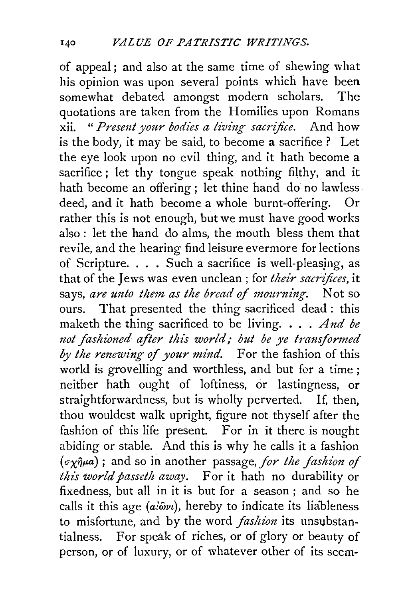of appeal ; and also at the same time of shewing what his opinion was upon several points which have been somewhat debated amongst modern scholars. The quotations are taken from the Homilies upon Romans xii. " *Presmt your bodies a living sacrifice.* And how is the body, it may be said, to become a sacrifice ? Let the eye look upon no evil thing, and it hath become a sacrifice; let thy tongue speak nothing filthy, and it hath become an offering; let thine hand do no lawlessdeed, and it bath become a whole burnt-offering. Or rather this is not enough, but we must have good works also : let the hand do alms, the mouth bless them that revile, and the hearing find leisure evermore for lections of Scripture. . . . Such a sacrifice is well-pleasjng, as that of the Jews was even unclean ; for *their sacrifices,* it says, *are unto them as the bread of mourning*. Not so ours. That presented the thing sacrificed dead : this maketh the thing sacrificed to be living. . . . *And be not fashioned after this world,- but be ye transformed by the renewing of your mind.* For the fashion of this world is grovelling and worthless, and but for a time ; neither bath ought of loftiness, or lastingness, or straightforwardness, but is wholly perverted. If, then, thou wouldest walk upright, figure not thyself after the fashion of this life present. For in it there is nought abiding or stable. And this is why he calls it a fashion  $(\sigma_X \hat{\eta} \mu a)$ ; and so in another passage, *for the fashion of this world passeth away.* For it bath no durability or fixedness, but all in it is but for a season ; and so he calls it this age  $(ai\tilde{\omega}v_l)$ , hereby to indicate its liableness to misfortune, and by the word *fashion* its unsubstantialness. For speak of riches, or of glory or beauty of person, or of luxury, or of whatever other of its seem-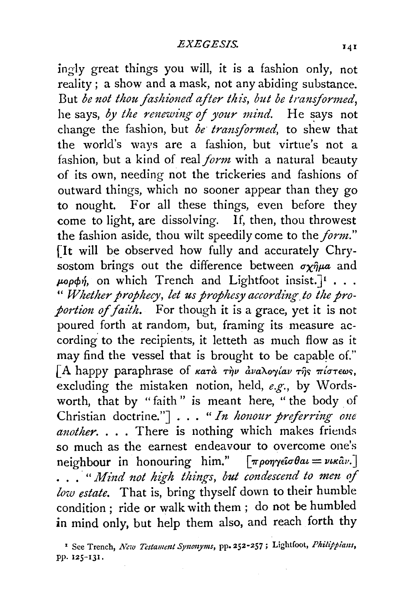ingly great things you will, it is a fashion only, not reality; a show and a mask, not any abiding substance. But *be not thou fashioned after this, but be transformed,*  he says, by the renewing of your mind. He says not change the fashion, but *be· transformed,* to shew that the world's ways are a fashion, but virtue's not a fashion, but a kind of real *form* with a natural beauty of its own, needing not the trickeries and fashions of outward things, which no sooner appear than they go to nought. For all these things, even before they come to light, are dissolving. If, then, thou throwest the fashion aside, thou wilt speedily come to the *form."*  [It will be observed how fully and accurately Chrysostom brings out the difference between  $\sigma \gamma \hat{\eta} \mu a$  and  $\mu$ 00 $\phi$ *n*, on which Trench and Lightfoot insist.<sup>J</sup> ... " *Whether prophecy, let us prophesy according. to the proportion* of *faith.* For though it is a grace, yet it is not poured forth at random, but, framing its measure according to the recipients, it letteth as much flow as it may find the vessel that is brought to be capable of." [A happy paraphrase of  $\kappa a\tau a$   $\tau \gamma \nu$   $\frac{\partial \nu}{\partial \gamma} a\omega \tau \gamma \gamma \gamma$   $\pi i \sigma \tau \epsilon \omega$ s, excluding the mistaken notion, held, *e.g.,* by Wordsworth, that by "faith" is meant here, "the body of<br>Christian doctrine."] . . . "*In honour preferring one another.* . . . There is nothing which makes friends so much as the earnest endeavour to overcome one's neighbour in honouring him."  $\lceil \pi \rho \text{ on } \gamma \in G \text{ and } \sigma \in \mathbb{R}^N$ . • . . · " *M-ind not high things, but condescmd to mm* of *low estate.* That is, bring thyself down to their humble condition ; ride or walk with them ; do not be humbled in mind only, but help them also, and reach forth thy

<sup>1</sup> See Trench, *New Testament Synonyms*, pp. 252-257; Lightfoot, *Philippians*, PP· 125-IJI.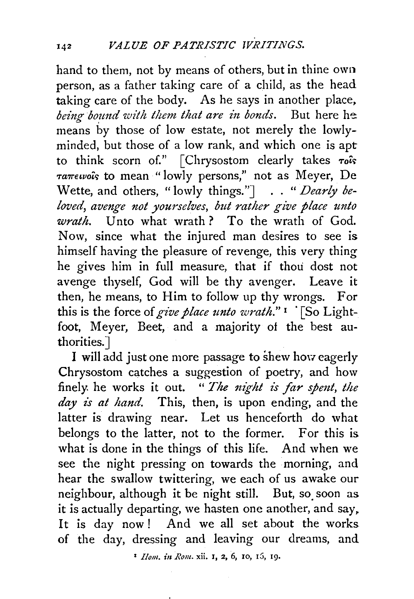hand to them, not by means of others, but in thine own person, as a father taking care of a child, as the head taking care of the body. As he says in another place, *being bound with them that are in bonds.* But here he means by those of low estate, not merely the lowlyminded, but those of a low rank, and which one is apt to think scorn of."  $\lceil$  Chrysostom clearly takes  $\tau_o$ *Ta7retvo'is* to mean "lowly persons," not as Meyer, De Wette, and others, " lowly things."] . . " *Dearly beloved, avenge not yourselves, but rather give place unto wrath.* Unto what wrath? To the wrath of God. Now, since what the injured man desires to see is himself having the pleasure of revenge, this very thing he gives him in full measure, that if thou dost not avenge thyself, God will be thy avenger. Leave it then, he means, to Him to follow up thy wrongs. For this is the force of give place unto wrath."<sup>1</sup> '[So Lightfoot, Meyer, Beet, and a majority of the best authorities. J

I will add just one more passage to shew how eagerly Chrysostom catches a suggestion of poetry, and how finely he works it out. " The night is far spent, the day is at hand. This, then, is upon ending, and the latter is drawing near. Let us henceforth do what belongs to the latter, not to the former. For this is what is done in the things of this life. And when we see the night pressing on towards the morning, and hear the swallow twittering, we each of us awake our neighbour, although it be night still. But, so. soon as it is actually departing, we hasten one another, and say. It is day now! And we all set about the works of the day, dressing and leaving our dreams, and

1 *Ilom. i11 Rum.* xii. I, 2, 6, 10, r5, rg.